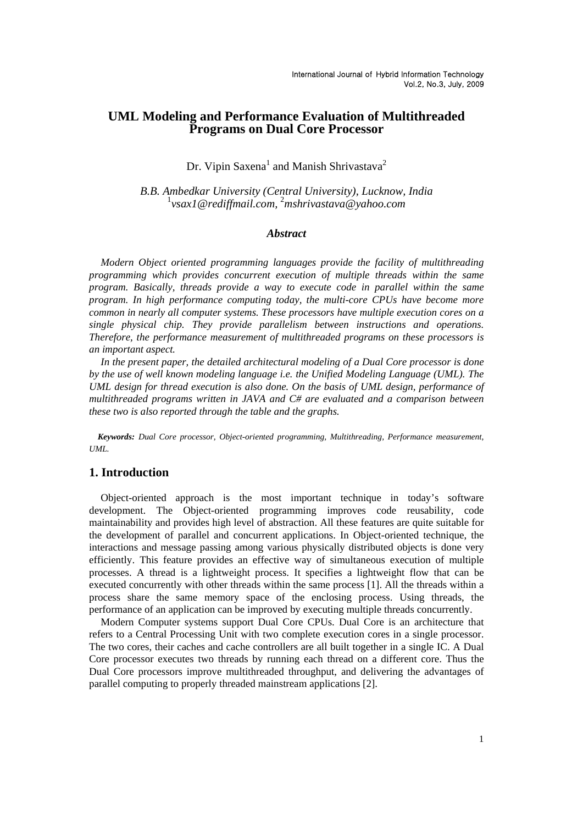# **UML Modeling and Performance Evaluation of Multithreaded Programs on Dual Core Processor**

# Dr. Vipin Saxena<sup>1</sup> and Manish Shrivastava<sup>2</sup>

*B.B. Ambedkar University (Central University), Lucknow, India* <sup>1</sup> *vsax1@rediffmail.com,* <sup>2</sup> *mshrivastava@yahoo.com*

### *Abstract*

*Modern Object oriented programming languages provide the facility of multithreading programming which provides concurrent execution of multiple threads within the same program. Basically, threads provide a way to execute code in parallel within the same program. In high performance computing today, the multi-core CPUs have become more common in nearly all computer systems. These processors have multiple execution cores on a single physical chip. They provide parallelism between instructions and operations. Therefore, the performance measurement of multithreaded programs on these processors is an important aspect.* 

In the present paper, the detailed architectural modeling of a Dual Core processor is done *by the use of well known modeling language i.e. the Unified Modeling Language (UML). The UML design for thread execution is also done. On the basis of UML design, performance of multithreaded programs written in JAVA and C# are evaluated and a comparison between these two is also reported through the table and the graphs.* 

*Keywords: Dual Core processor, Object-oriented programming, Multithreading, Performance measurement, UML.* 

# **1. Introduction**

Object-oriented approach is the most important technique in today's software development. The Object-oriented programming improves code reusability, code maintainability and provides high level of abstraction. All these features are quite suitable for the development of parallel and concurrent applications. In Object-oriented technique, the interactions and message passing among various physically distributed objects is done very efficiently. This feature provides an effective way of simultaneous execution of multiple processes. A thread is a lightweight process. It specifies a lightweight flow that can be executed concurrently with other threads within the same process [1]. All the threads within a process share the same memory space of the enclosing process. Using threads, the performance of an application can be improved by executing multiple threads concurrently.

Modern Computer systems support Dual Core CPUs. Dual Core is an architecture that refers to a Central Processing Unit with two complete execution cores in a single processor. The two cores, their caches and cache controllers are all built together in a single IC. A Dual Core processor executes two threads by running each thread on a different core. Thus the Dual Core processors improve multithreaded throughput, and delivering the advantages of parallel computing to properly threaded mainstream applications [2].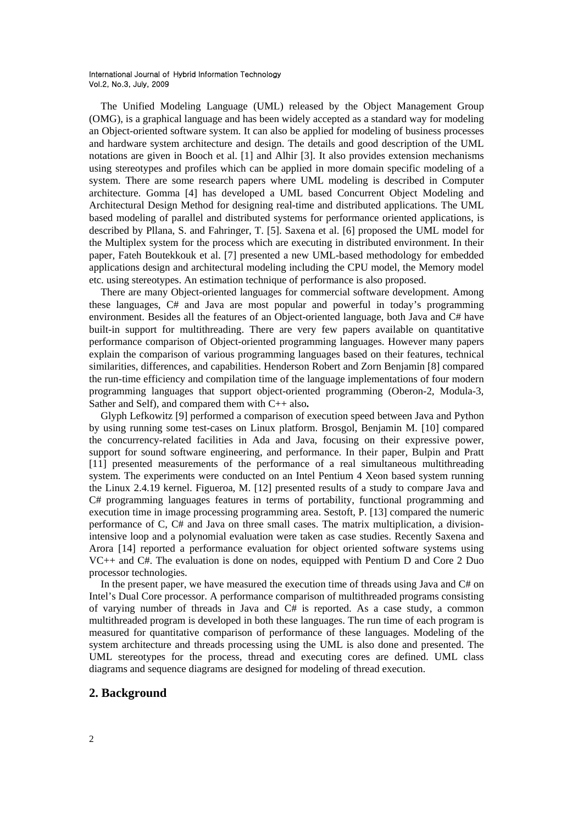The Unified Modeling Language (UML) released by the Object Management Group (OMG), is a graphical language and has been widely accepted as a standard way for modeling an Object-oriented software system. It can also be applied for modeling of business processes and hardware system architecture and design. The details and good description of the UML notations are given in Booch et al. [1] and Alhir [3]. It also provides extension mechanisms using stereotypes and profiles which can be applied in more domain specific modeling of a system. There are some research papers where UML modeling is described in Computer architecture. Gomma [4] has developed a UML based Concurrent Object Modeling and Architectural Design Method for designing real-time and distributed applications. The UML based modeling of parallel and distributed systems for performance oriented applications, is described by Pllana, S. and Fahringer, T. [5]. Saxena et al. [6] proposed the UML model for the Multiplex system for the process which are executing in distributed environment. In their paper, Fateh Boutekkouk et al. [7] presented a new UML-based methodology for embedded applications design and architectural modeling including the CPU model, the Memory model etc. using stereotypes. An estimation technique of performance is also proposed.

There are many Object-oriented languages for commercial software development. Among these languages, C# and Java are most popular and powerful in today's programming environment. Besides all the features of an Object-oriented language, both Java and C# have built-in support for multithreading. There are very few papers available on quantitative performance comparison of Object-oriented programming languages. However many papers explain the comparison of various programming languages based on their features, technical similarities, differences, and capabilities. Henderson Robert and Zorn Benjamin [8] compared the run-time efficiency and compilation time of the language implementations of four modern programming languages that support object-oriented programming (Oberon-2, Modula-3, Sather and Self), and compared them with C++ also**.** 

Glyph Lefkowitz [9] performed a comparison of execution speed between Java and Python by using running some test-cases on Linux platform. Brosgol, Benjamin M. [10] compared the concurrency-related facilities in Ada and Java, focusing on their expressive power, support for sound software engineering, and performance. In their paper, Bulpin and Pratt [11] presented measurements of the performance of a real simultaneous multithreading system. The experiments were conducted on an Intel Pentium 4 Xeon based system running the Linux 2.4.19 kernel. Figueroa, M. [12] presented results of a study to compare Java and C# programming languages features in terms of portability, functional programming and execution time in image processing programming area. Sestoft, P. [13] compared the numeric performance of C, C# and Java on three small cases. The matrix multiplication, a divisionintensive loop and a polynomial evaluation were taken as case studies. Recently Saxena and Arora [14] reported a performance evaluation for object oriented software systems using VC++ and C#. The evaluation is done on nodes, equipped with Pentium D and Core 2 Duo processor technologies.

In the present paper, we have measured the execution time of threads using Java and C# on Intel's Dual Core processor. A performance comparison of multithreaded programs consisting of varying number of threads in Java and C# is reported. As a case study, a common multithreaded program is developed in both these languages. The run time of each program is measured for quantitative comparison of performance of these languages. Modeling of the system architecture and threads processing using the UML is also done and presented. The UML stereotypes for the process, thread and executing cores are defined. UML class diagrams and sequence diagrams are designed for modeling of thread execution.

# **2. Background**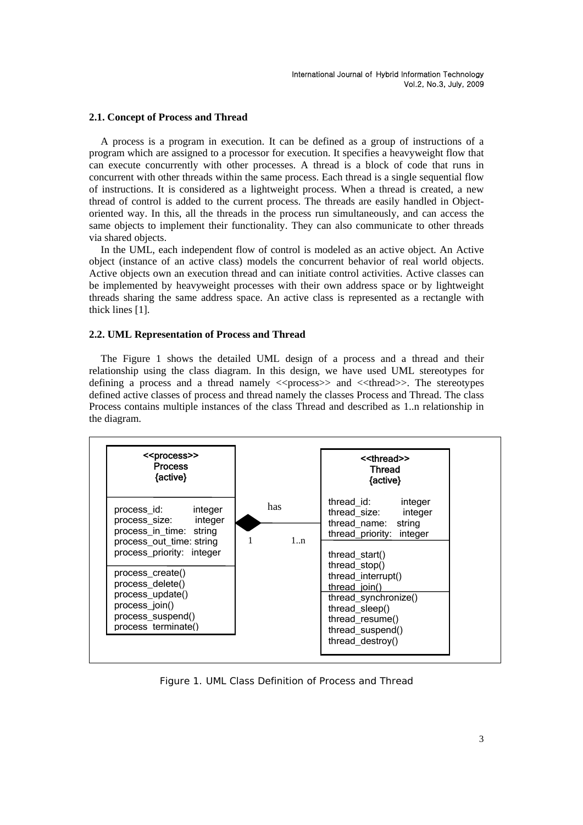#### **2.1. Concept of Process and Thread**

A process is a program in execution. It can be defined as a group of instructions of a program which are assigned to a processor for execution. It specifies a heavyweight flow that can execute concurrently with other processes. A thread is a block of code that runs in concurrent with other threads within the same process. Each thread is a single sequential flow of instructions. It is considered as a lightweight process. When a thread is created, a new thread of control is added to the current process. The threads are easily handled in Objectoriented way. In this, all the threads in the process run simultaneously, and can access the same objects to implement their functionality. They can also communicate to other threads via shared objects.

In the UML, each independent flow of control is modeled as an active object. An Active object (instance of an active class) models the concurrent behavior of real world objects. Active objects own an execution thread and can initiate control activities. Active classes can be implemented by heavyweight processes with their own address space or by lightweight threads sharing the same address space. An active class is represented as a rectangle with thick lines [1].

#### **2.2. UML Representation of Process and Thread**

The Figure 1 shows the detailed UML design of a process and a thread and their relationship using the class diagram. In this design, we have used UML stereotypes for defining a process and a thread namely  $\langle$  -threadstable spaces and  $\langle$  -threadstable stereotypes defined active classes of process and thread namely the classes Process and Thread. The class Process contains multiple instances of the class Thread and described as 1..n relationship in the diagram.

| < <process>&gt;<br/><b>Process</b><br/>{active}</process>                                                                                                                                                                                                        |           | < <thread>&gt;<br/><b>Thread</b><br/>{active}</thread>                                                                                                                                                                                                                             |  |  |
|------------------------------------------------------------------------------------------------------------------------------------------------------------------------------------------------------------------------------------------------------------------|-----------|------------------------------------------------------------------------------------------------------------------------------------------------------------------------------------------------------------------------------------------------------------------------------------|--|--|
| process_id:<br>integer<br>process_size:<br>integer<br>process in time: string<br>process_out_time: string<br>process priority: integer<br>process create()<br>process_delete()<br>process_update()<br>process_join()<br>process_suspend()<br>process terminate() | has<br>1n | thread id:<br>integer<br>integer<br>thread_size:<br>thread name: string<br>thread priority: integer<br>thread start()<br>thread_stop()<br>thread_interrupt()<br>thread join()<br>thread_synchronize()<br>thread sleep()<br>thread_resume()<br>thread_suspend()<br>thread destroy() |  |  |

Figure 1. UML Class Definition of Process and Thread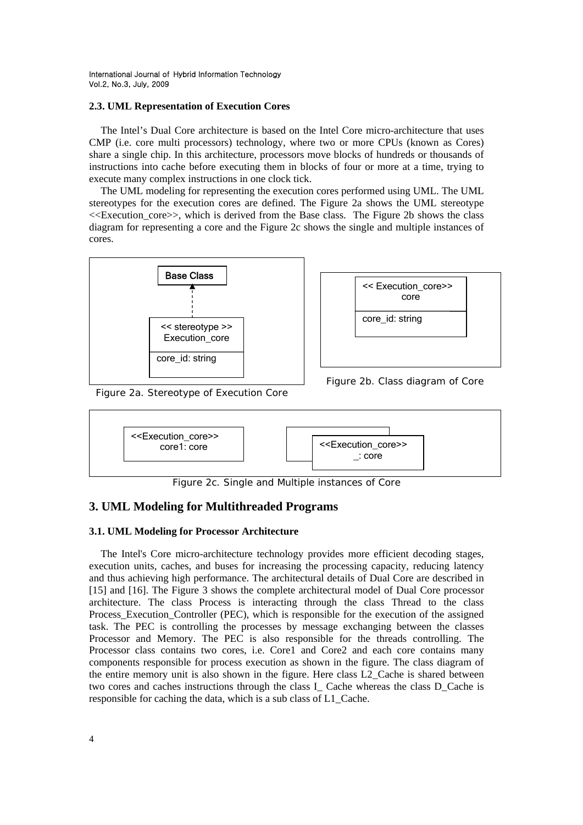#### **2.3. UML Representation of Execution Cores**

The Intel's Dual Core architecture is based on the Intel Core micro-architecture that uses CMP (i.e. core multi processors) technology, where two or more CPUs (known as Cores) share a single chip. In this architecture, processors move blocks of hundreds or thousands of instructions into cache before executing them in blocks of four or more at a time, trying to execute many complex instructions in one clock tick.

The UML modeling for representing the execution cores performed using UML. The UML stereotypes for the execution cores are defined. The Figure 2a shows the UML stereotype <<Execution\_core>>, which is derived from the Base class. The Figure 2b shows the class diagram for representing a core and the Figure 2c shows the single and multiple instances of cores.





Figure 2a. Stereotype of Execution Core

Figure 2b. Class diagram of Core



Figure 2c. Single and Multiple instances of Core

# **3. UML Modeling for Multithreaded Programs**

# **3.1. UML Modeling for Processor Architecture**

The Intel's Core micro-architecture technology provides more efficient decoding stages, execution units, caches, and buses for increasing the processing capacity, reducing latency and thus achieving high performance. The architectural details of Dual Core are described in [15] and [16]. The Figure 3 shows the complete architectural model of Dual Core processor architecture. The class Process is interacting through the class Thread to the class Process\_Execution\_Controller (PEC), which is responsible for the execution of the assigned task. The PEC is controlling the processes by message exchanging between the classes Processor and Memory. The PEC is also responsible for the threads controlling. The Processor class contains two cores, i.e. Core1 and Core2 and each core contains many components responsible for process execution as shown in the figure. The class diagram of the entire memory unit is also shown in the figure. Here class L2\_Cache is shared between two cores and caches instructions through the class I\_ Cache whereas the class D\_Cache is responsible for caching the data, which is a sub class of L1\_Cache.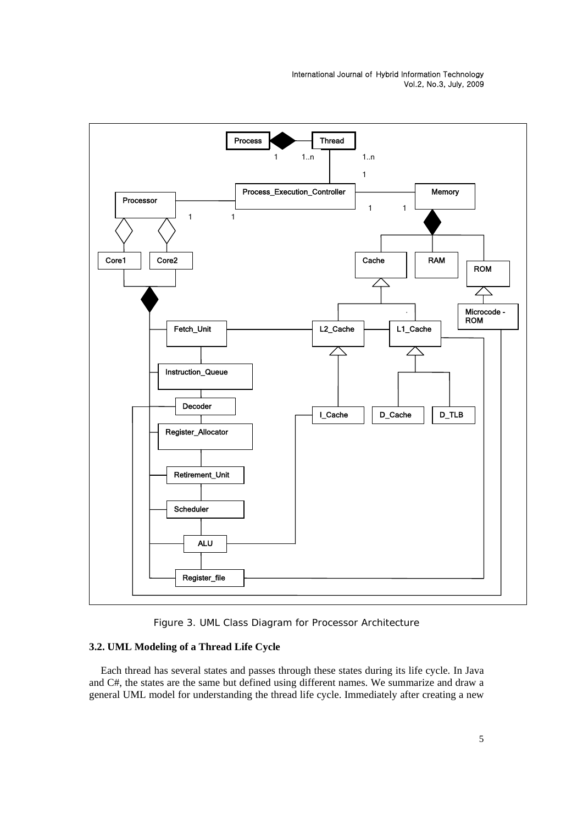

Figure 3. UML Class Diagram for Processor Architecture

# **3.2. UML Modeling of a Thread Life Cycle**

Each thread has several states and passes through these states during its life cycle. In Java and C#, the states are the same but defined using different names. We summarize and draw a general UML model for understanding the thread life cycle. Immediately after creating a new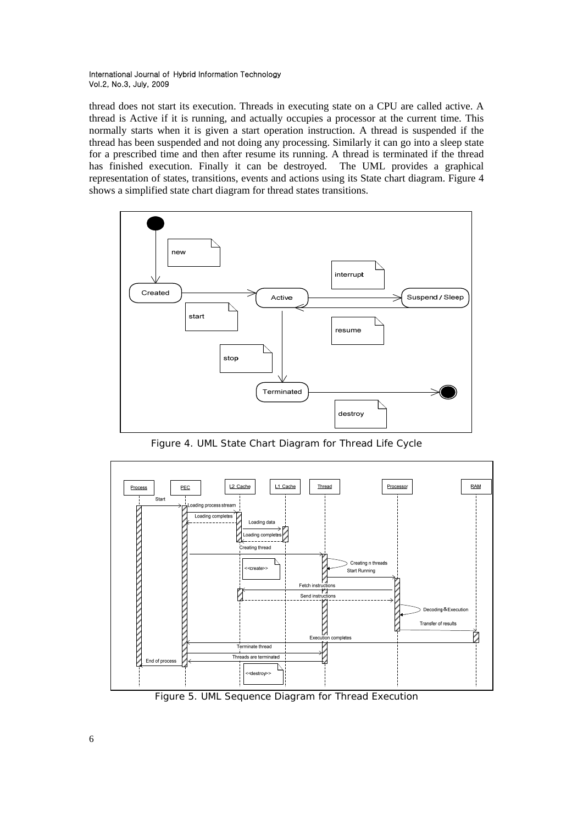thread does not start its execution. Threads in executing state on a CPU are called active. A thread is Active if it is running, and actually occupies a processor at the current time. This normally starts when it is given a start operation instruction. A thread is suspended if the thread has been suspended and not doing any processing. Similarly it can go into a sleep state for a prescribed time and then after resume its running. A thread is terminated if the thread has finished execution. Finally it can be destroyed. The UML provides a graphical representation of states, transitions, events and actions using its State chart diagram. Figure 4 shows a simplified state chart diagram for thread states transitions.



Figure 4. UML State Chart Diagram for Thread Life Cycle



Figure 5. UML Sequence Diagram for Thread Execution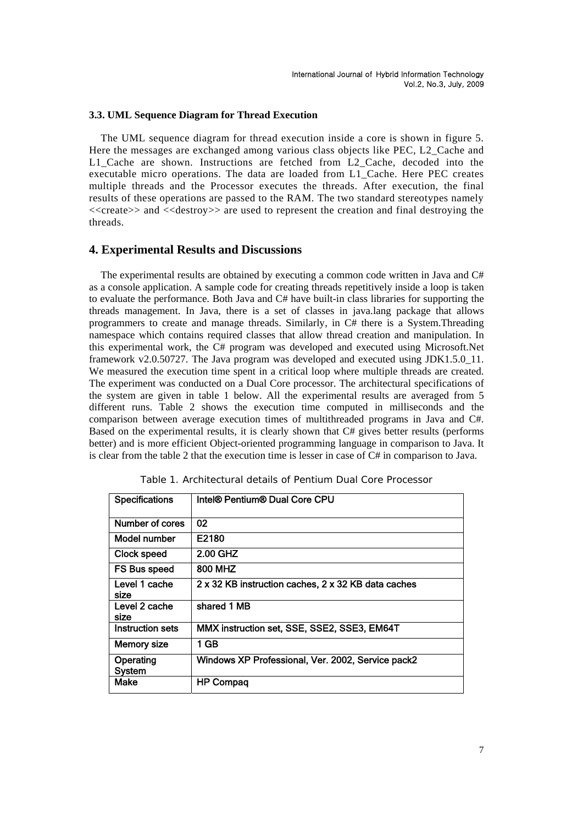#### **3.3. UML Sequence Diagram for Thread Execution**

The UML sequence diagram for thread execution inside a core is shown in figure 5. Here the messages are exchanged among various class objects like PEC, L2\_Cache and L1 Cache are shown. Instructions are fetched from L2 Cache, decoded into the executable micro operations. The data are loaded from L1\_Cache. Here PEC creates multiple threads and the Processor executes the threads. After execution, the final results of these operations are passed to the RAM. The two standard stereotypes namely  $\le$  create>> and  $\le$  destroy>> are used to represent the creation and final destroying the threads.

# **4. Experimental Results and Discussions**

The experimental results are obtained by executing a common code written in Java and  $C#$ as a console application. A sample code for creating threads repetitively inside a loop is taken to evaluate the performance. Both Java and C# have built-in class libraries for supporting the threads management. In Java, there is a set of classes in java.lang package that allows programmers to create and manage threads. Similarly, in C# there is a System.Threading namespace which contains required classes that allow thread creation and manipulation. In this experimental work, the C# program was developed and executed using Microsoft.Net framework v2.0.50727. The Java program was developed and executed using JDK1.5.0\_11. We measured the execution time spent in a critical loop where multiple threads are created. The experiment was conducted on a Dual Core processor. The architectural specifications of the system are given in table 1 below. All the experimental results are averaged from 5 different runs. Table 2 shows the execution time computed in milliseconds and the comparison between average execution times of multithreaded programs in Java and C#. Based on the experimental results, it is clearly shown that C# gives better results (performs better) and is more efficient Object-oriented programming language in comparison to Java. It is clear from the table 2 that the execution time is lesser in case of C# in comparison to Java.

| <b>Specifications</b>      | Intel® Pentium® Dual Core CPU                       |
|----------------------------|-----------------------------------------------------|
| Number of cores            | 02                                                  |
| Model number               | E2180                                               |
| Clock speed                | 2.00 GHZ                                            |
| <b>FS Bus speed</b>        | 800 MHZ                                             |
| Level 1 cache<br>size      | 2 x 32 KB instruction caches, 2 x 32 KB data caches |
| Level 2 cache<br>size      | shared 1 MB                                         |
| <b>Instruction sets</b>    | MMX instruction set, SSE, SSE2, SSE3, EM64T         |
| <b>Memory size</b>         | 1 GB                                                |
| Operating<br><b>System</b> | Windows XP Professional, Ver. 2002, Service pack2   |
| Make                       | <b>HP Compaq</b>                                    |

Table 1. Architectural details of Pentium Dual Core Processor

7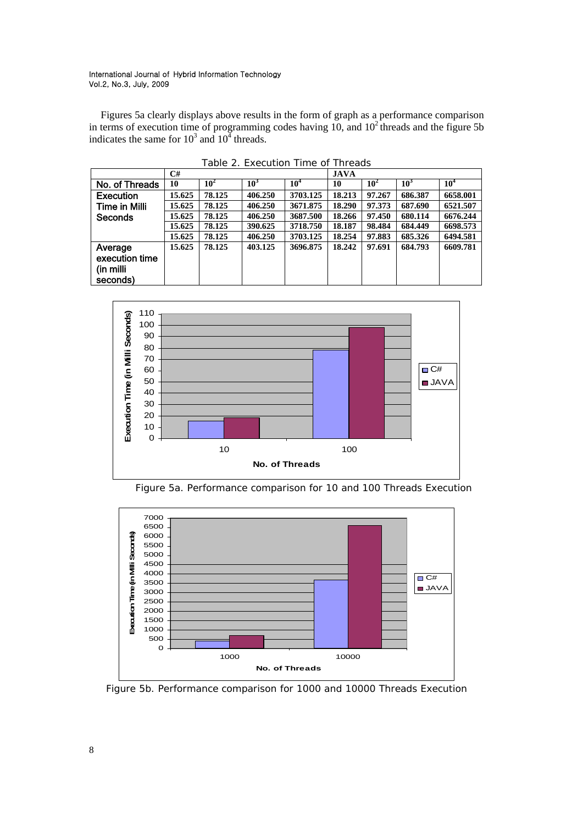Figures 5a clearly displays above results in the form of graph as a performance comparison in terms of execution time of programming codes having  $10$ , and  $10<sup>2</sup>$  threads and the figure 5b indicates the same for  $10^3$  and  $10^4$  threads.

|                  | C#     |                 |         |                 | <b>JAVA</b> |                 |                 |                 |
|------------------|--------|-----------------|---------|-----------------|-------------|-----------------|-----------------|-----------------|
| No. of Threads   | 10     | 10 <sup>2</sup> | $10^3$  | 10 <sup>4</sup> | 10          | 10 <sup>2</sup> | 10 <sup>3</sup> | 10 <sup>4</sup> |
| <b>Execution</b> | 15.625 | 78.125          | 406.250 | 3703.125        | 18.213      | 97.267          | 686.387         | 6658.001        |
| Time in Milli    | 15.625 | 78.125          | 406.250 | 3671.875        | 18.290      | 97.373          | 687.690         | 6521.507        |
| Seconds          | 15.625 | 78.125          | 406.250 | 3687.500        | 18.266      | 97.450          | 680.114         | 6676.244        |
|                  | 15.625 | 78.125          | 390.625 | 3718.750        | 18.187      | 98.484          | 684.449         | 6698.573        |
|                  | 15.625 | 78.125          | 406.250 | 3703.125        | 18.254      | 97.883          | 685.326         | 6494.581        |
| Average          | 15.625 | 78.125          | 403.125 | 3696.875        | 18.242      | 97.691          | 684.793         | 6609.781        |
| execution time   |        |                 |         |                 |             |                 |                 |                 |
| (in milli        |        |                 |         |                 |             |                 |                 |                 |
| seconds)         |        |                 |         |                 |             |                 |                 |                 |

Table 2. Execution Time of Threads







Figure 5b. Performance comparison for 1000 and 10000 Threads Execution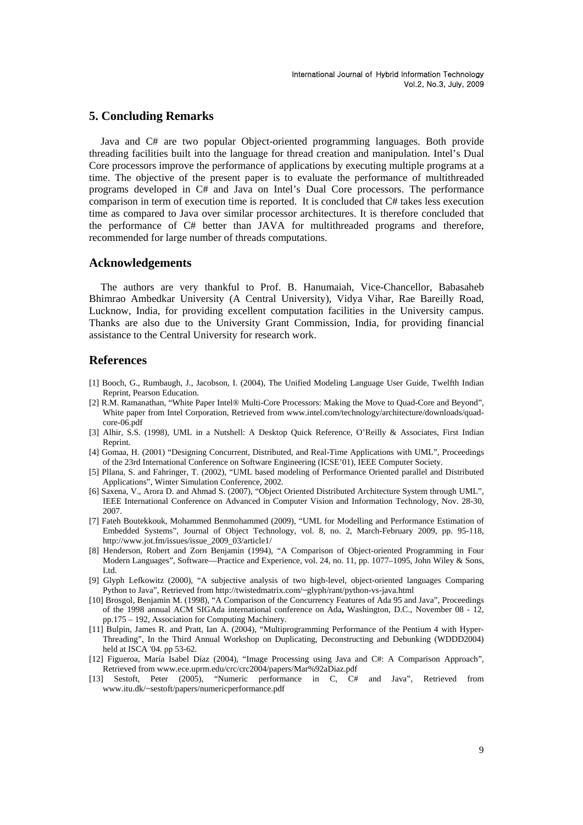### **5. Concluding Remarks**

Java and C# are two popular Object-oriented programming languages. Both provide threading facilities built into the language for thread creation and manipulation. Intel's Dual Core processors improve the performance of applications by executing multiple programs at a time. The objective of the present paper is to evaluate the performance of multithreaded programs developed in C# and Java on Intel's Dual Core processors. The performance comparison in term of execution time is reported. It is concluded that C# takes less execution time as compared to Java over similar processor architectures. It is therefore concluded that the performance of C# better than JAVA for multithreaded programs and therefore, recommended for large number of threads computations.

### **Acknowledgements**

The authors are very thankful to Prof. B. Hanumaiah, Vice-Chancellor, Babasaheb Bhimrao Ambedkar University (A Central University), Vidya Vihar, Rae Bareilly Road, Lucknow, India, for providing excellent computation facilities in the University campus. Thanks are also due to the University Grant Commission, India, for providing financial assistance to the Central University for research work.

### **References**

- [1] Booch, G., Rumbaugh, J., Jacobson, I. (2004), The Unified Modeling Language User Guide, Twelfth Indian Reprint, Pearson Education.
- [2] R.M. Ramanathan, "White Paper Intel® Multi-Core Processors: Making the Move to Quad-Core and Beyond", White paper from Intel Corporation, Retrieved from www.intel.com/technology/architecture/downloads/quadcore-06.pdf
- [3] Alhir, S.S. (1998), UML in a Nutshell: A Desktop Quick Reference, O'Reilly & Associates, First Indian Reprint.
- [4] Gomaa, H. (2001) "Designing Concurrent, Distributed, and Real-Time Applications with UML", Proceedings of the 23rd International Conference on Software Engineering (ICSE'01), IEEE Computer Society.
- [5] Pllana, S. and Fahringer, T. (2002), "UML based modeling of Performance Oriented parallel and Distributed Applications", Winter Simulation Conference, 2002.
- [6] Saxena, V., Arora D. and Ahmad S. (2007), "Object Oriented Distributed Architecture System through UML", IEEE International Conference on Advanced in Computer Vision and Information Technology, Nov. 28-30, 2007.
- [7] Fateh Boutekkouk, Mohammed Benmohammed (2009), "UML for Modelling and Performance Estimation of Embedded Systems", Journal of Object Technology, vol. 8, no. 2, March-February 2009, pp. 95-118, http://www.jot.fm/issues/issue\_2009\_03/article1/
- [8] Henderson, Robert and Zorn Benjamin (1994), "A Comparison of Object-oriented Programming in Four Modern Languages", Software—Practice and Experience, vol. 24, no. 11, pp. 1077–1095, John Wiley & Sons, L<sub>td</sub>
- [9] Glyph Lefkowitz (2000), "A subjective analysis of two high-level, object-oriented languages Comparing Python to Java", Retrieved from http://twistedmatrix.com/~glyph/rant/python-vs-java.html
- [10] Brosgol, Benjamin M. (1998), "A Comparison of the Concurrency Features of Ada 95 and Java", Proceedings of the 1998 annual ACM SIGAda international conference on Ada**,** Washington, D.C., November 08 - 12, pp.175 – 192, Association for Computing Machinery.
- [11] Bulpin, James R. and Pratt, Ian A. (2004), "Multiprogramming Performance of the Pentium 4 with Hyper-Threading", In the Third Annual Workshop on Duplicating, Deconstructing and Debunking (WDDD2004) held at ISCA '04. pp 53-62.
- [12] Figueroa, María Isabel Díaz (2004), "Image Processing using Java and C#: A Comparison Approach", Retrieved from www.ece.uprm.edu/crc/crc2004/papers/Mar%92aDiaz.pdf
- [13] Sestoft, Peter (2005), "Numeric performance in C, C# and Java", Retrieved from www.itu.dk/~sestoft/papers/numericperformance.pdf